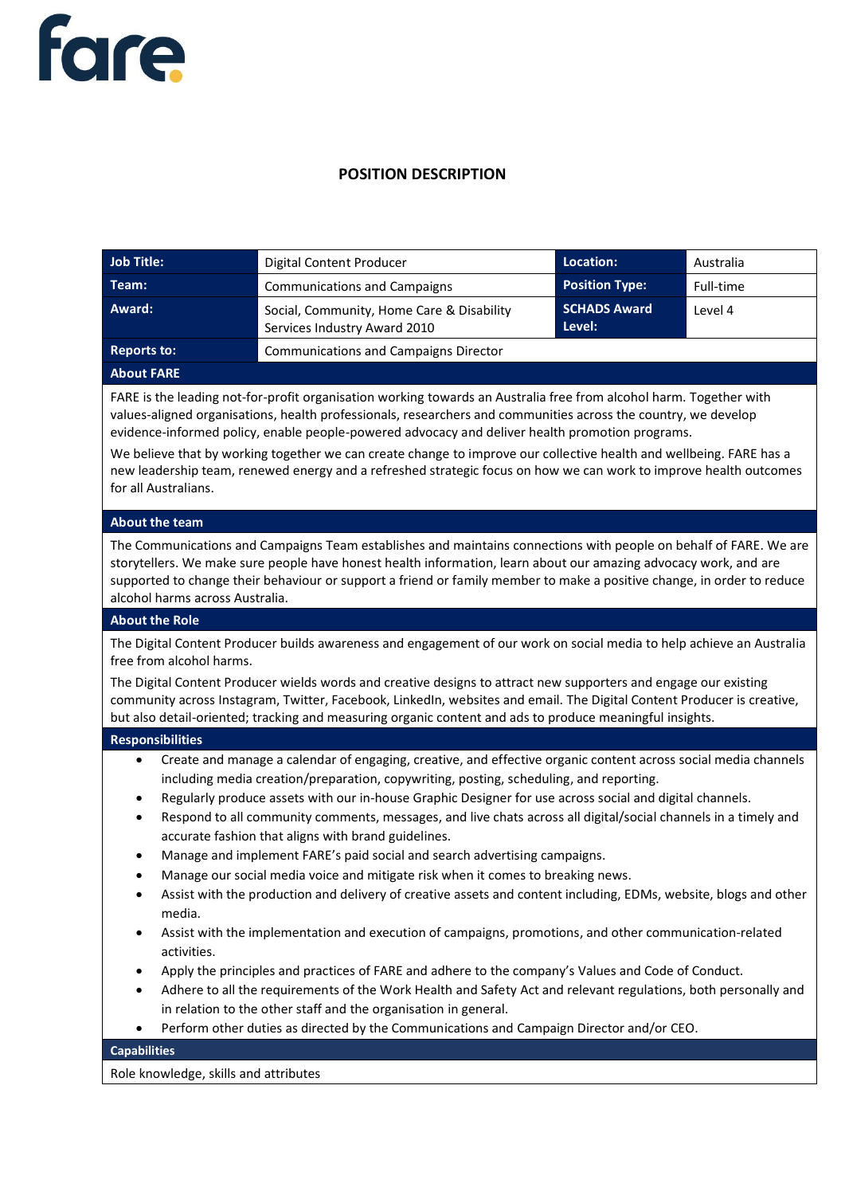

## **POSITION DESCRIPTION**

| <b>Job Title:</b>                                                                                                                                                                                                                                                                                                                                                                                                                                                                                                                                                                                                                                                                                                                                                                                                                                                                                                                                                                                                                                                                                                                                                                                                                                                                                         | Digital Content Producer                                                                 | Location:                     | Australia |
|-----------------------------------------------------------------------------------------------------------------------------------------------------------------------------------------------------------------------------------------------------------------------------------------------------------------------------------------------------------------------------------------------------------------------------------------------------------------------------------------------------------------------------------------------------------------------------------------------------------------------------------------------------------------------------------------------------------------------------------------------------------------------------------------------------------------------------------------------------------------------------------------------------------------------------------------------------------------------------------------------------------------------------------------------------------------------------------------------------------------------------------------------------------------------------------------------------------------------------------------------------------------------------------------------------------|------------------------------------------------------------------------------------------|-------------------------------|-----------|
| Team:                                                                                                                                                                                                                                                                                                                                                                                                                                                                                                                                                                                                                                                                                                                                                                                                                                                                                                                                                                                                                                                                                                                                                                                                                                                                                                     | <b>Communications and Campaigns</b>                                                      | <b>Position Type:</b>         | Full-time |
| Award:                                                                                                                                                                                                                                                                                                                                                                                                                                                                                                                                                                                                                                                                                                                                                                                                                                                                                                                                                                                                                                                                                                                                                                                                                                                                                                    | Social, Community, Home Care & Disability<br>Services Industry Award 2010                | <b>SCHADS Award</b><br>Level: | Level 4   |
| <b>Reports to:</b><br><b>Communications and Campaigns Director</b>                                                                                                                                                                                                                                                                                                                                                                                                                                                                                                                                                                                                                                                                                                                                                                                                                                                                                                                                                                                                                                                                                                                                                                                                                                        |                                                                                          |                               |           |
| <b>About FARE</b>                                                                                                                                                                                                                                                                                                                                                                                                                                                                                                                                                                                                                                                                                                                                                                                                                                                                                                                                                                                                                                                                                                                                                                                                                                                                                         |                                                                                          |                               |           |
| FARE is the leading not-for-profit organisation working towards an Australia free from alcohol harm. Together with<br>values-aligned organisations, health professionals, researchers and communities across the country, we develop<br>evidence-informed policy, enable people-powered advocacy and deliver health promotion programs.<br>We believe that by working together we can create change to improve our collective health and wellbeing. FARE has a<br>new leadership team, renewed energy and a refreshed strategic focus on how we can work to improve health outcomes<br>for all Australians.                                                                                                                                                                                                                                                                                                                                                                                                                                                                                                                                                                                                                                                                                               |                                                                                          |                               |           |
| <b>About the team</b>                                                                                                                                                                                                                                                                                                                                                                                                                                                                                                                                                                                                                                                                                                                                                                                                                                                                                                                                                                                                                                                                                                                                                                                                                                                                                     |                                                                                          |                               |           |
| The Communications and Campaigns Team establishes and maintains connections with people on behalf of FARE. We are<br>storytellers. We make sure people have honest health information, learn about our amazing advocacy work, and are<br>supported to change their behaviour or support a friend or family member to make a positive change, in order to reduce<br>alcohol harms across Australia.                                                                                                                                                                                                                                                                                                                                                                                                                                                                                                                                                                                                                                                                                                                                                                                                                                                                                                        |                                                                                          |                               |           |
| <b>About the Role</b>                                                                                                                                                                                                                                                                                                                                                                                                                                                                                                                                                                                                                                                                                                                                                                                                                                                                                                                                                                                                                                                                                                                                                                                                                                                                                     |                                                                                          |                               |           |
| The Digital Content Producer builds awareness and engagement of our work on social media to help achieve an Australia<br>free from alcohol harms.                                                                                                                                                                                                                                                                                                                                                                                                                                                                                                                                                                                                                                                                                                                                                                                                                                                                                                                                                                                                                                                                                                                                                         |                                                                                          |                               |           |
| The Digital Content Producer wields words and creative designs to attract new supporters and engage our existing<br>community across Instagram, Twitter, Facebook, LinkedIn, websites and email. The Digital Content Producer is creative,<br>but also detail-oriented; tracking and measuring organic content and ads to produce meaningful insights.                                                                                                                                                                                                                                                                                                                                                                                                                                                                                                                                                                                                                                                                                                                                                                                                                                                                                                                                                    |                                                                                          |                               |           |
| <b>Responsibilities</b>                                                                                                                                                                                                                                                                                                                                                                                                                                                                                                                                                                                                                                                                                                                                                                                                                                                                                                                                                                                                                                                                                                                                                                                                                                                                                   |                                                                                          |                               |           |
| Create and manage a calendar of engaging, creative, and effective organic content across social media channels<br>$\bullet$<br>including media creation/preparation, copywriting, posting, scheduling, and reporting.<br>Regularly produce assets with our in-house Graphic Designer for use across social and digital channels.<br>$\bullet$<br>Respond to all community comments, messages, and live chats across all digital/social channels in a timely and<br>$\bullet$<br>accurate fashion that aligns with brand guidelines.<br>Manage and implement FARE's paid social and search advertising campaigns.<br>Manage our social media voice and mitigate risk when it comes to breaking news.<br>Assist with the production and delivery of creative assets and content including, EDMs, website, blogs and other<br>$\bullet$<br>media.<br>Assist with the implementation and execution of campaigns, promotions, and other communication-related<br>$\bullet$<br>activities.<br>Apply the principles and practices of FARE and adhere to the company's Values and Code of Conduct.<br>$\bullet$<br>Adhere to all the requirements of the Work Health and Safety Act and relevant regulations, both personally and<br>$\bullet$<br>in relation to the other staff and the organisation in general. |                                                                                          |                               |           |
| $\bullet$                                                                                                                                                                                                                                                                                                                                                                                                                                                                                                                                                                                                                                                                                                                                                                                                                                                                                                                                                                                                                                                                                                                                                                                                                                                                                                 | Perform other duties as directed by the Communications and Campaign Director and/or CEO. |                               |           |
| <b>Capabilities</b>                                                                                                                                                                                                                                                                                                                                                                                                                                                                                                                                                                                                                                                                                                                                                                                                                                                                                                                                                                                                                                                                                                                                                                                                                                                                                       |                                                                                          |                               |           |

Role knowledge, skills and attributes